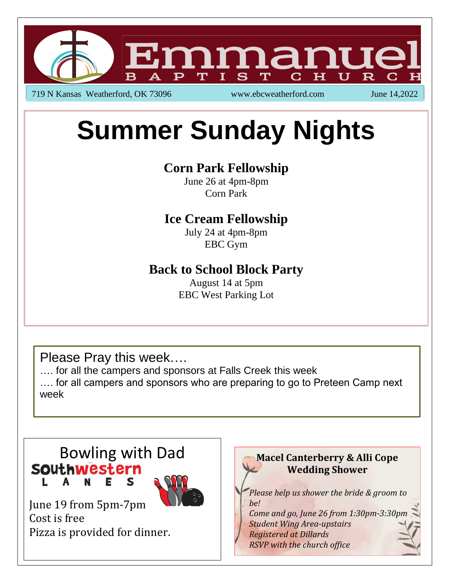

719 N Kansas Weatherford, OK 73096 www.ebcweatherford.com June 14,2022

# **Summer Sunday Nights**

# **Corn Park Fellowship**

June 26 at 4pm-8pm Corn Park

# **Ice Cream Fellowship**

July 24 at 4pm-8pm EBC Gym

## **Back to School Block Party**

August 14 at 5pm EBC West Parking Lot

Please Pray this week….

…. for all the campers and sponsors at Falls Creek this week

…. for all campers and sponsors who are preparing to go to Preteen Camp next week



Pizza is provided for dinner.